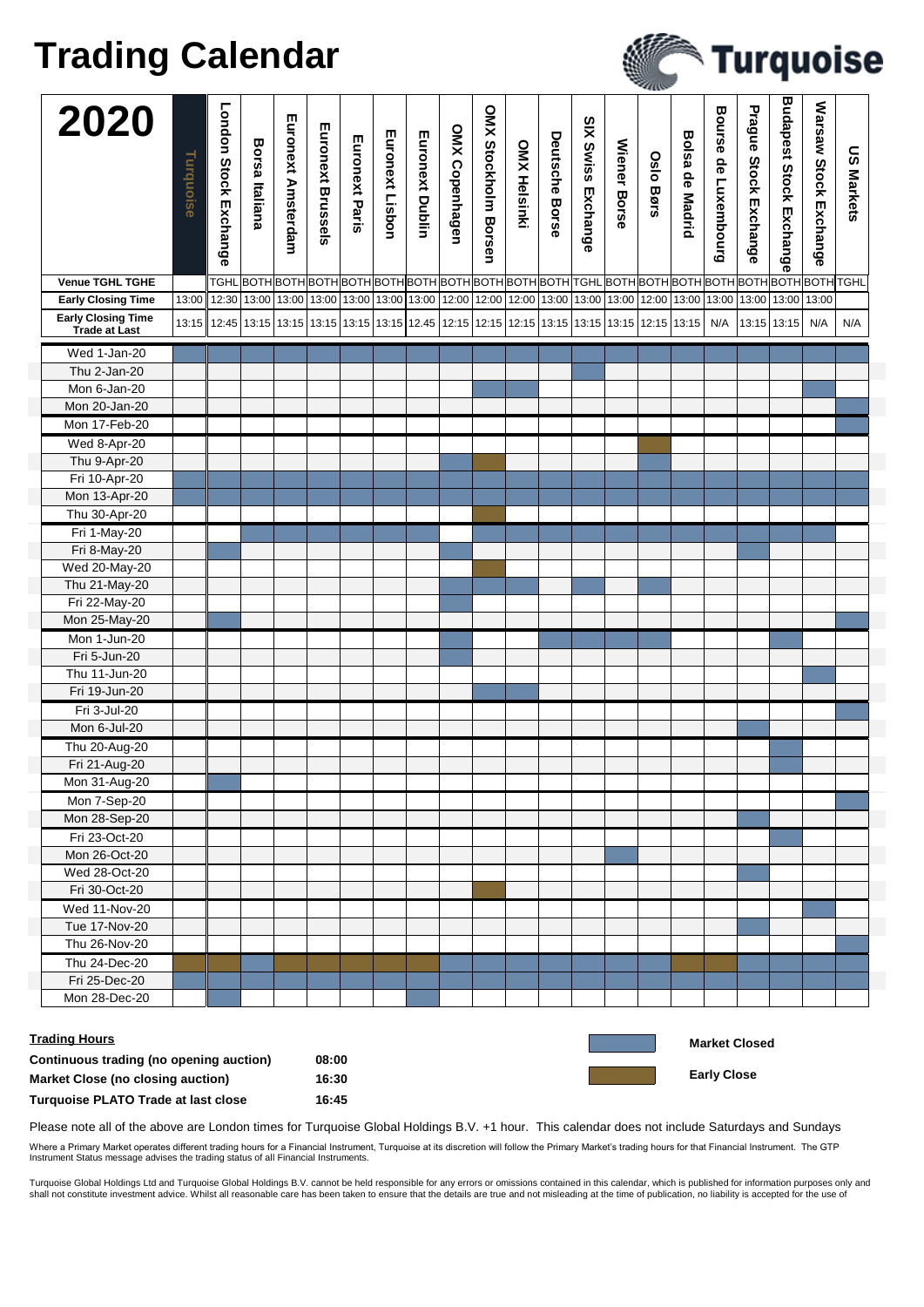## **Trading Calendar**

|                                                   |           |                                                                                                                                                               |                       |                    |                   |                |                 |                 |                |                      |                     |                |                           |                     | $-400$           |                        |                      |                       |                                |                              |                   |
|---------------------------------------------------|-----------|---------------------------------------------------------------------------------------------------------------------------------------------------------------|-----------------------|--------------------|-------------------|----------------|-----------------|-----------------|----------------|----------------------|---------------------|----------------|---------------------------|---------------------|------------------|------------------------|----------------------|-----------------------|--------------------------------|------------------------------|-------------------|
| 2020                                              | Turquoise | <b>London Stock Exchange</b>                                                                                                                                  | <b>Borsa Italiana</b> | Euronext Amsterdam | Euronext Brussels | Euronext Paris | Euronext Lisbon | Euronext Dublin | OMX Copenhagen | OMX Stockholm Borsen | <b>OMX Helsinki</b> | Deutsche Borse | <b>SIX Swiss Exchange</b> | <b>Wiener Borse</b> | <b>Oslo Børs</b> | <b>Bolsa de Madrid</b> | Bourse de Luxembourg | Prague Stock Exchange | <b>Budapest Stock Exchange</b> | <b>Warsaw Stock Exchange</b> | <b>US Markets</b> |
| <b>Venue TGHL TGHE</b>                            |           |                                                                                                                                                               |                       |                    |                   |                |                 |                 |                |                      |                     |                |                           |                     |                  |                        |                      |                       |                                |                              |                   |
| <b>Early Closing Time</b>                         | 13:00     | 12:30   13:00   13:00   13:00   13:00   13:00   13:00   12:00   12:00   12:00   13:00   13:00   13:00   13:00   13:00   13:00   13:00   13:00   13:00   13:00 |                       |                    |                   |                |                 |                 |                |                      |                     |                |                           |                     |                  |                        |                      |                       |                                |                              |                   |
| <b>Early Closing Time</b><br><b>Trade at Last</b> |           | 13:15   12:45   13:15   13:15   13:15   13:15   13:15   13:15   12:45   12:15   12:15   13:15   13:15   13:15   13:15   13:15   13:15                         |                       |                    |                   |                |                 |                 |                |                      |                     |                |                           |                     |                  |                        | N/A                  |                       | 13:15 13:15                    | N/A                          | N/A               |
| Wed 1-Jan-20                                      |           |                                                                                                                                                               |                       |                    |                   |                |                 |                 |                |                      |                     |                |                           |                     |                  |                        |                      |                       |                                |                              |                   |
| Thu 2-Jan-20                                      |           |                                                                                                                                                               |                       |                    |                   |                |                 |                 |                |                      |                     |                |                           |                     |                  |                        |                      |                       |                                |                              |                   |
| Mon 6-Jan-20                                      |           |                                                                                                                                                               |                       |                    |                   |                |                 |                 |                |                      |                     |                |                           |                     |                  |                        |                      |                       |                                |                              |                   |
| Mon 20-Jan-20                                     |           |                                                                                                                                                               |                       |                    |                   |                |                 |                 |                |                      |                     |                |                           |                     |                  |                        |                      |                       |                                |                              |                   |
| Mon 17-Feb-20                                     |           |                                                                                                                                                               |                       |                    |                   |                |                 |                 |                |                      |                     |                |                           |                     |                  |                        |                      |                       |                                |                              |                   |
| Wed 8-Apr-20                                      |           |                                                                                                                                                               |                       |                    |                   |                |                 |                 |                |                      |                     |                |                           |                     |                  |                        |                      |                       |                                |                              |                   |
| Thu 9-Apr-20                                      |           |                                                                                                                                                               |                       |                    |                   |                |                 |                 |                |                      |                     |                |                           |                     |                  |                        |                      |                       |                                |                              |                   |
| Fri 10-Apr-20                                     |           |                                                                                                                                                               |                       |                    |                   |                |                 |                 |                |                      |                     |                |                           |                     |                  |                        |                      |                       |                                |                              |                   |
| Mon 13-Apr-20                                     |           |                                                                                                                                                               |                       |                    |                   |                |                 |                 |                |                      |                     |                |                           |                     |                  |                        |                      |                       |                                |                              |                   |
| Thu 30-Apr-20                                     |           |                                                                                                                                                               |                       |                    |                   |                |                 |                 |                |                      |                     |                |                           |                     |                  |                        |                      |                       |                                |                              |                   |
| Fri 1-May-20                                      |           |                                                                                                                                                               |                       |                    |                   |                |                 |                 |                |                      |                     |                |                           |                     |                  |                        |                      |                       |                                |                              |                   |
| Fri 8-May-20                                      |           |                                                                                                                                                               |                       |                    |                   |                |                 |                 |                |                      |                     |                |                           |                     |                  |                        |                      |                       |                                |                              |                   |
| Wed 20-May-20                                     |           |                                                                                                                                                               |                       |                    |                   |                |                 |                 |                |                      |                     |                |                           |                     |                  |                        |                      |                       |                                |                              |                   |
| Thu 21-May-20                                     |           |                                                                                                                                                               |                       |                    |                   |                |                 |                 |                |                      |                     |                |                           |                     |                  |                        |                      |                       |                                |                              |                   |
|                                                   |           |                                                                                                                                                               |                       |                    |                   |                |                 |                 |                |                      |                     |                |                           |                     |                  |                        |                      |                       |                                |                              |                   |
| Fri 22-May-20                                     |           |                                                                                                                                                               |                       |                    |                   |                |                 |                 |                |                      |                     |                |                           |                     |                  |                        |                      |                       |                                |                              |                   |
| Mon 25-May-20                                     |           |                                                                                                                                                               |                       |                    |                   |                |                 |                 |                |                      |                     |                |                           |                     |                  |                        |                      |                       |                                |                              |                   |
| Mon 1-Jun-20                                      |           |                                                                                                                                                               |                       |                    |                   |                |                 |                 |                |                      |                     |                |                           |                     |                  |                        |                      |                       |                                |                              |                   |
| Fri 5-Jun-20                                      |           |                                                                                                                                                               |                       |                    |                   |                |                 |                 |                |                      |                     |                |                           |                     |                  |                        |                      |                       |                                |                              |                   |
| Thu 11-Jun-20                                     |           |                                                                                                                                                               |                       |                    |                   |                |                 |                 |                |                      |                     |                |                           |                     |                  |                        |                      |                       |                                |                              |                   |
| Fri 19-Jun-20                                     |           |                                                                                                                                                               |                       |                    |                   |                |                 |                 |                |                      |                     |                |                           |                     |                  |                        |                      |                       |                                |                              |                   |
| Fri 3-Jul-20                                      |           |                                                                                                                                                               |                       |                    |                   |                |                 |                 |                |                      |                     |                |                           |                     |                  |                        |                      |                       |                                |                              |                   |
| Mon 6-Jul-20                                      |           |                                                                                                                                                               |                       |                    |                   |                |                 |                 |                |                      |                     |                |                           |                     |                  |                        |                      |                       |                                |                              |                   |
| Thu 20-Aug-20                                     |           |                                                                                                                                                               |                       |                    |                   |                |                 |                 |                |                      |                     |                |                           |                     |                  |                        |                      |                       |                                |                              |                   |
| Fri 21-Aug-20                                     |           |                                                                                                                                                               |                       |                    |                   |                |                 |                 |                |                      |                     |                |                           |                     |                  |                        |                      |                       |                                |                              |                   |
| Mon 31-Aug-20                                     |           |                                                                                                                                                               |                       |                    |                   |                |                 |                 |                |                      |                     |                |                           |                     |                  |                        |                      |                       |                                |                              |                   |
| Mon 7-Sep-20                                      |           |                                                                                                                                                               |                       |                    |                   |                |                 |                 |                |                      |                     |                |                           |                     |                  |                        |                      |                       |                                |                              |                   |
| Mon 28-Sep-20                                     |           |                                                                                                                                                               |                       |                    |                   |                |                 |                 |                |                      |                     |                |                           |                     |                  |                        |                      |                       |                                |                              |                   |
| Fri 23-Oct-20                                     |           |                                                                                                                                                               |                       |                    |                   |                |                 |                 |                |                      |                     |                |                           |                     |                  |                        |                      |                       |                                |                              |                   |
| Mon 26-Oct-20                                     |           |                                                                                                                                                               |                       |                    |                   |                |                 |                 |                |                      |                     |                |                           |                     |                  |                        |                      |                       |                                |                              |                   |
| Wed 28-Oct-20                                     |           |                                                                                                                                                               |                       |                    |                   |                |                 |                 |                |                      |                     |                |                           |                     |                  |                        |                      |                       |                                |                              |                   |
| Fri 30-Oct-20                                     |           |                                                                                                                                                               |                       |                    |                   |                |                 |                 |                |                      |                     |                |                           |                     |                  |                        |                      |                       |                                |                              |                   |
| Wed 11-Nov-20                                     |           |                                                                                                                                                               |                       |                    |                   |                |                 |                 |                |                      |                     |                |                           |                     |                  |                        |                      |                       |                                |                              |                   |
| Tue 17-Nov-20                                     |           |                                                                                                                                                               |                       |                    |                   |                |                 |                 |                |                      |                     |                |                           |                     |                  |                        |                      |                       |                                |                              |                   |
| Thu 26-Nov-20                                     |           |                                                                                                                                                               |                       |                    |                   |                |                 |                 |                |                      |                     |                |                           |                     |                  |                        |                      |                       |                                |                              |                   |
| Thu 24-Dec-20                                     |           |                                                                                                                                                               |                       |                    |                   |                |                 |                 |                |                      |                     |                |                           |                     |                  |                        |                      |                       |                                |                              |                   |
| Fri 25-Dec-20                                     |           |                                                                                                                                                               |                       |                    |                   |                |                 |                 |                |                      |                     |                |                           |                     |                  |                        |                      |                       |                                |                              |                   |
| Mon 28-Dec-20                                     |           |                                                                                                                                                               |                       |                    |                   |                |                 |                 |                |                      |                     |                |                           |                     |                  |                        |                      |                       |                                |                              |                   |
| <b>Trading Hours</b>                              |           |                                                                                                                                                               |                       |                    |                   |                |                 |                 |                |                      |                     |                |                           |                     |                  |                        |                      | <b>Market Closed</b>  |                                |                              |                   |
| Continuous trading (no opening auction)           |           |                                                                                                                                                               |                       |                    | 08:00             |                |                 |                 |                |                      |                     |                |                           |                     |                  |                        |                      |                       |                                |                              |                   |
| <b>Market Close (no closing auction)</b>          |           |                                                                                                                                                               |                       |                    | 16:30             |                |                 |                 |                |                      |                     |                |                           |                     |                  |                        | <b>Early Close</b>   |                       |                                |                              |                   |
| 16:45<br>Turquoise PLATO Trade at last close      |           |                                                                                                                                                               |                       |                    |                   |                |                 |                 |                |                      |                     |                |                           |                     |                  |                        |                      |                       |                                |                              |                   |

Turquoise

Please note all of the above are London times for Turquoise Global Holdings B.V. +1 hour. This calendar does not include Saturdays and Sundays Where a Primary Market operates different trading hours for a Financial Instrument, Turquoise at its discretion will follow the Primary Market's trading hours for that Financial Instrument. The GTP Instrument Status message advises the trading status of all Financial Instruments.

Turquoise Global Holdings Ltd and Turquoise Global Holdings B.V. cannot be held responsible for any errors or omissions contained in this calendar, which is published for information purposes only and<br>shall not constitute